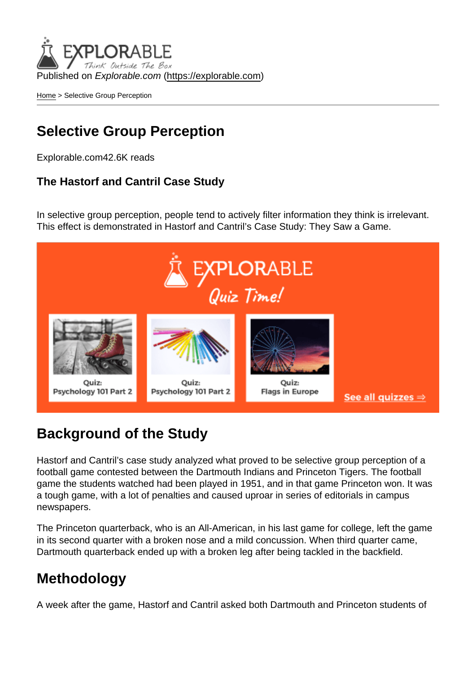Published on Explorable.com (<https://explorable.com>)

[Home](https://explorable.com/) > Selective Group Perception

# Selective Group Perception

Explorable.com42.6K reads

The Hastorf and Cantril Case Study

In selective group perception, people tend to actively filter information they think is irrelevant. This effect is demonstrated in Hastorf and Cantril's Case Study: They Saw a Game.

## Background of the Study

Hastorf and Cantril's case study analyzed what proved to be selective group perception of a football game contested between the Dartmouth Indians and Princeton Tigers. The football game the students watched had been played in 1951, and in that game Princeton won. It was a tough game, with a lot of penalties and caused uproar in series of editorials in campus newspapers.

The Princeton quarterback, who is an All-American, in his last game for college, left the game in its second quarter with a broken nose and a mild concussion. When third quarter came, Dartmouth quarterback ended up with a broken leg after being tackled in the backfield.

## Methodology

A week after the game, Hastorf and Cantril asked both Dartmouth and Princeton students of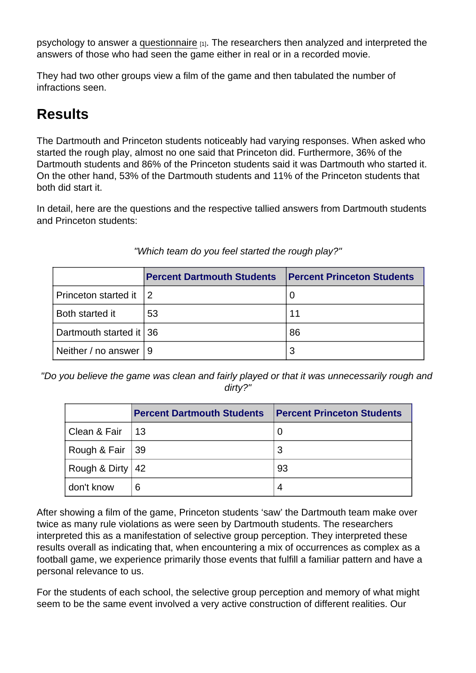psychology to answer a [questionnaire](https://explorable.com/survey-research-design) [1]. The researchers then analyzed and interpreted the answers of those who had seen the game either in real or in a recorded movie.

They had two other groups view a film of the game and then tabulated the number of infractions seen.

## **Results**

The Dartmouth and Princeton students noticeably had varying responses. When asked who started the rough play, almost no one said that Princeton did. Furthermore, 36% of the Dartmouth students and 86% of the Princeton students said it was Dartmouth who started it. On the other hand, 53% of the Dartmouth students and 11% of the Princeton students that both did start it.

In detail, here are the questions and the respective tallied answers from Dartmouth students and Princeton students:

|                          | <b>Percent Dartmouth Students</b> | <b>IPercent Princeton Students</b> |
|--------------------------|-----------------------------------|------------------------------------|
| Princeton started it     |                                   |                                    |
| Both started it          | 53                                | 11                                 |
| Dartmouth started it 136 |                                   | 86                                 |
| Neither / no answer      | ∣ 9                               |                                    |

"Which team do you feel started the rough play?"

"Do you believe the game was clean and fairly played or that it was unnecessarily rough and dirty?"

|                    | <b>Percent Dartmouth Students</b> | <b>Percent Princeton Students</b> |
|--------------------|-----------------------------------|-----------------------------------|
| Clean & Fair       | 13                                | O                                 |
| Rough & Fair   39  |                                   | 3                                 |
| Rough & Dirty   42 |                                   | 93                                |
| don't know         | 6                                 | 4                                 |

After showing a film of the game, Princeton students 'saw' the Dartmouth team make over twice as many rule violations as were seen by Dartmouth students. The researchers interpreted this as a manifestation of selective group perception. They interpreted these results overall as indicating that, when encountering a mix of occurrences as complex as a football game, we experience primarily those events that fulfill a familiar pattern and have a personal relevance to us.

For the students of each school, the selective group perception and memory of what might seem to be the same event involved a very active construction of different realities. Our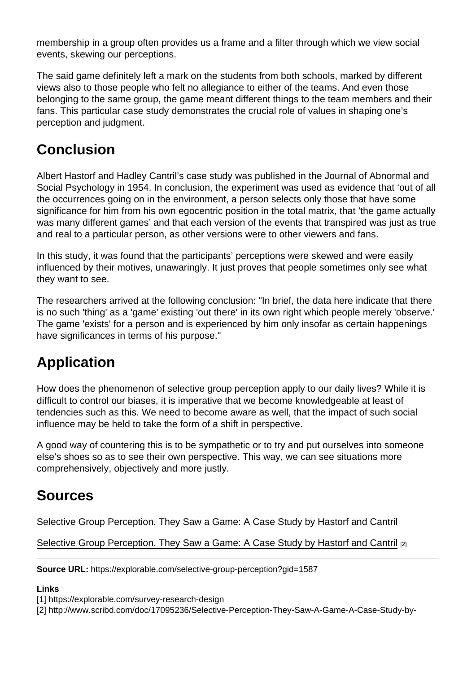membership in a group often provides us a frame and a filter through which we view social events, skewing our perceptions.

The said game definitely left a mark on the students from both schools, marked by different views also to those people who felt no allegiance to either of the teams. And even those belonging to the same group, the game meant different things to the team members and their fans. This particular case study demonstrates the crucial role of values in shaping one's perception and judgment.

## **Conclusion**

Albert Hastorf and Hadley Cantril's case study was published in the Journal of Abnormal and Social Psychology in 1954. In conclusion, the experiment was used as evidence that 'out of all the occurrences going on in the environment, a person selects only those that have some significance for him from his own egocentric position in the total matrix, that 'the game actually was many different games' and that each version of the events that transpired was just as true and real to a particular person, as other versions were to other viewers and fans.

In this study, it was found that the participants' perceptions were skewed and were easily influenced by their motives, unawaringly. It just proves that people sometimes only see what they want to see.

The researchers arrived at the following conclusion: "In brief, the data here indicate that there is no such 'thing' as a 'game' existing 'out there' in its own right which people merely 'observe.' The game 'exists' for a person and is experienced by him only insofar as certain happenings have significances in terms of his purpose."

# Application

How does the phenomenon of selective group perception apply to our daily lives? While it is difficult to control our biases, it is imperative that we become knowledgeable at least of tendencies such as this. We need to become aware as well, that the impact of such social influence may be held to take the form of a shift in perspective.

A good way of countering this is to be sympathetic or to try and put ourselves into someone else's shoes so as to see their own perspective. This way, we can see situations more comprehensively, objectively and more justly.

## Sources

Selective Group Perception. They Saw a Game: A Case Study by Hastorf and Cantril

[Selective Group Perception. They Saw a Game: A Case Study by Hastorf and Cantril](http://www.scribd.com/doc/17095236/Selective-Perception-They-Saw-A-Game-A-Case-Study-by-Albert-Hastorf-Hadley-Cantril) [2]

Source URL: https://explorable.com/selective-group-perception?gid=1587

Links

[1] https://explorable.com/survey-research-design

[2] http://www.scribd.com/doc/17095236/Selective-Perception-They-Saw-A-Game-A-Case-Study-by-